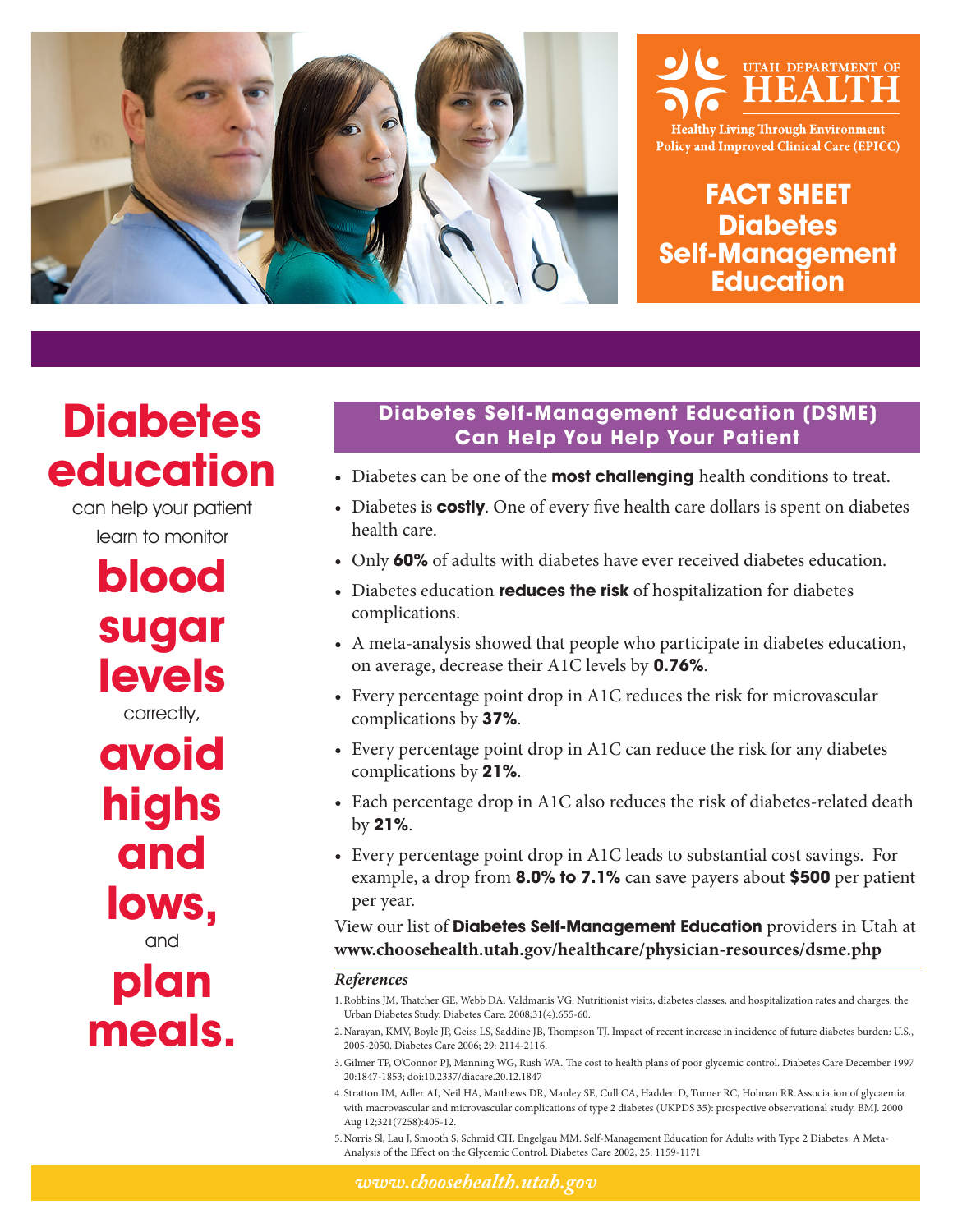



**Healthy Living Through Environment Policy and Improved Clinical Care (EPICC)** 

**FACT SHEET Diabetes Self-Management Education**

# **Diabetes education**

can help your patient learn to monitor

> **blood sugar levels** correctly, **avoid**

**highs and lows,** and

**plan meals.**

### **Diabetes Self-Management Education (DSME) Can Help You Help Your Patient**

- Diabetes can be one of the **most challenging** health conditions to treat.
- Diabetes is **costly**. One of every five health care dollars is spent on diabetes health care.
- Only **60%** of adults with diabetes have ever received diabetes education.
- Diabetes education **reduces the risk** of hospitalization for diabetes complications.
- A meta-analysis showed that people who participate in diabetes education, on average, decrease their A1C levels by **0.76%**.
- Every percentage point drop in A1C reduces the risk for microvascular complications by **37%**.
- Every percentage point drop in A1C can reduce the risk for any diabetes complications by **21%**.
- Each percentage drop in A1C also reduces the risk of diabetes-related death by **21%**.
- Every percentage point drop in A1C leads to substantial cost savings. For example, a drop from **8.0% to 7.1%** can save payers about **\$500** per patient per year.

View our list of **Diabetes Self-Management Education** providers in Utah at **www.choosehealth.utah.gov/healthcare/physician-resources/dsme.php**

#### *References*

- 1.Robbins JM, Thatcher GE, Webb DA, Valdmanis VG. Nutritionist visits, diabetes classes, and hospitalization rates and charges: the Urban Diabetes Study. Diabetes Care. 2008;31(4):655-60.
- 2. Narayan, KMV, Boyle JP, Geiss LS, Saddine JB, Thompson TJ. Impact of recent increase in incidence of future diabetes burden: U.S., 2005-2050. Diabetes Care 2006; 29: 2114-2116.
- 3. Gilmer TP, O'Connor PJ, Manning WG, Rush WA. The cost to health plans of poor glycemic control. Diabetes Care December 1997 20:1847-1853; doi:10.2337/diacare.20.12.1847
- 4. Stratton IM, Adler AI, Neil HA, Matthews DR, Manley SE, Cull CA, Hadden D, Turner RC, Holman RR.Association of glycaemia with macrovascular and microvascular complications of type 2 diabetes (UKPDS 35): prospective observational study. BMJ. 2000 Aug 12;321(7258):405-12.
- 5. Norris Sl, Lau J, Smooth S, Schmid CH, Engelgau MM. Self-Management Education for Adults with Type 2 Diabetes: A Meta-Analysis of the Effect on the Glycemic Control. Diabetes Care 2002, 25: 1159-1171

*www.choosehealth.utah.gov*